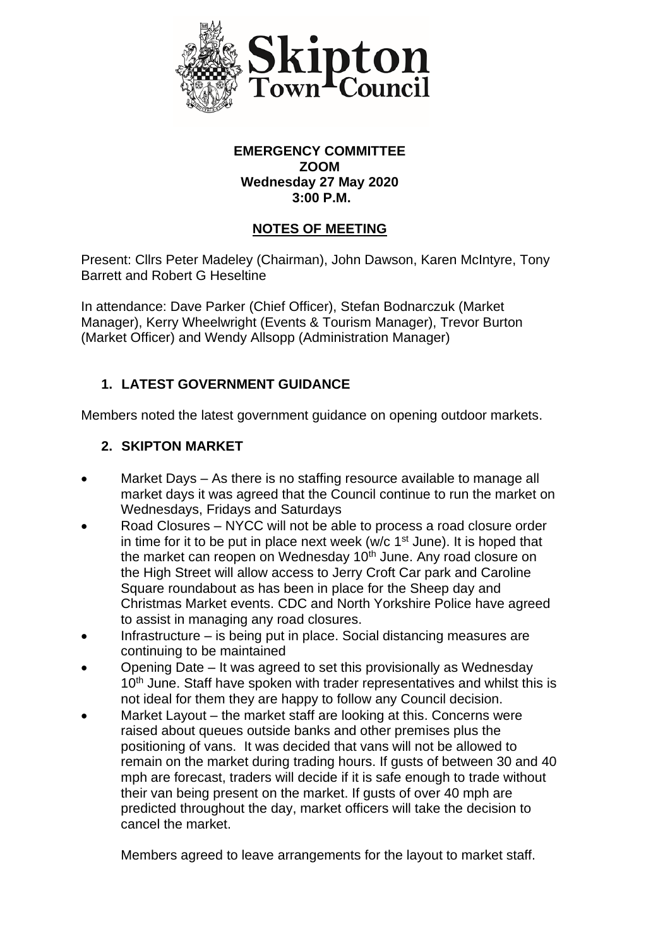

## **EMERGENCY COMMITTEE ZOOM Wednesday 27 May 2020 3:00 P.M.**

## **NOTES OF MEETING**

Present: Cllrs Peter Madeley (Chairman), John Dawson, Karen McIntyre, Tony Barrett and Robert G Heseltine

In attendance: Dave Parker (Chief Officer), Stefan Bodnarczuk (Market Manager), Kerry Wheelwright (Events & Tourism Manager), Trevor Burton (Market Officer) and Wendy Allsopp (Administration Manager)

# **1. LATEST GOVERNMENT GUIDANCE**

Members noted the latest government guidance on opening outdoor markets.

## **2. SKIPTON MARKET**

- Market Days As there is no staffing resource available to manage all market days it was agreed that the Council continue to run the market on Wednesdays, Fridays and Saturdays
- Road Closures NYCC will not be able to process a road closure order in time for it to be put in place next week ( $w/c$  1<sup>st</sup> June). It is hoped that the market can reopen on Wednesday 10<sup>th</sup> June. Any road closure on the High Street will allow access to Jerry Croft Car park and Caroline Square roundabout as has been in place for the Sheep day and Christmas Market events. CDC and North Yorkshire Police have agreed to assist in managing any road closures.
- Infrastructure is being put in place. Social distancing measures are continuing to be maintained
- Opening Date It was agreed to set this provisionally as Wednesday 10<sup>th</sup> June. Staff have spoken with trader representatives and whilst this is not ideal for them they are happy to follow any Council decision.
- Market Layout the market staff are looking at this. Concerns were raised about queues outside banks and other premises plus the positioning of vans. It was decided that vans will not be allowed to remain on the market during trading hours. If gusts of between 30 and 40 mph are forecast, traders will decide if it is safe enough to trade without their van being present on the market. If gusts of over 40 mph are predicted throughout the day, market officers will take the decision to cancel the market.

Members agreed to leave arrangements for the layout to market staff.